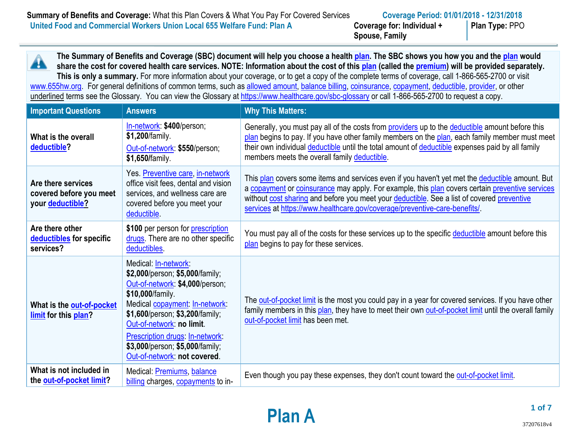**Spouse, Family**

**Plan Type:** PPO

**The Summary of Benefits and Coverage (SBC) document will help you choose a health [plan.](https://www.healthcare.gov/sbc-glossary/#plan) The SBC shows you how you and the [plan](https://www.healthcare.gov/sbc-glossary/#plan) would**  Â **share the cost for covered health care services. NOTE: Information about the cost of thi[s plan](https://www.healthcare.gov/sbc-glossary/#plan) (called the [premium\)](https://www.healthcare.gov/sbc-glossary/#premium) will be provided separately. This is only a summary.** For more information about your coverage, or to get a copy of the complete terms of coverage, call 1-866-565-2700 or visit [www.655hw.org.](http://www.655hw.org/) For general definitions of common terms, such as [allowed amount,](https://www.healthcare.gov/sbc-glossary/#allowed-amount) [balance billing,](https://www.healthcare.gov/sbc-glossary/#balance-billing) [coinsurance,](https://www.healthcare.gov/sbc-glossary/#coinsurance) [copayment,](https://www.healthcare.gov/sbc-glossary/#copayment) [deductible,](https://www.healthcare.gov/sbc-glossary/#deductible) [provider,](https://www.healthcare.gov/sbc-glossary/#provider) or other underlined terms see the Glossary. You can view the Glossary at<https://www.healthcare.gov/sbc-glossary> or call 1-866-565-2700 to request a copy. **Important Questions Answers Answers Why This Matters:** [In-network:](https://www.healthcare.gov/sbc-glossary/#network-provider) **\$400**/person; Generally, you must pay all of the costs from **providers** up to the **deductible** amount before this

| What is the overall<br>deductible?                                | In-network: \$400/person;<br>\$1,200/family.<br>Out-of-network: \$550/person;<br>\$1,650/family.                                                                                                                                                                                                                              | Generally, you must pay all of the costs from providers up to the deductible amount before this<br>plan begins to pay. If you have other family members on the plan, each family member must meet<br>their own individual deductible until the total amount of deductible expenses paid by all family<br>members meets the overall family deductible.                         |
|-------------------------------------------------------------------|-------------------------------------------------------------------------------------------------------------------------------------------------------------------------------------------------------------------------------------------------------------------------------------------------------------------------------|-------------------------------------------------------------------------------------------------------------------------------------------------------------------------------------------------------------------------------------------------------------------------------------------------------------------------------------------------------------------------------|
| Are there services<br>covered before you meet<br>your deductible? | Yes. Preventive care, in-network<br>office visit fees, dental and vision<br>services, and wellness care are<br>covered before you meet your<br>deductible.                                                                                                                                                                    | This plan covers some items and services even if you haven't yet met the deductible amount. But<br>a copayment or coinsurance may apply. For example, this plan covers certain preventive services<br>without cost sharing and before you meet your deductible. See a list of covered preventive<br>services at https://www.healthcare.gov/coverage/preventive-care-benefits/ |
| Are there other<br>deductibles for specific<br>services?          | \$100 per person for <b>prescription</b><br>drugs. There are no other specific<br>deductibles.                                                                                                                                                                                                                                | You must pay all of the costs for these services up to the specific deductible amount before this<br>plan begins to pay for these services.                                                                                                                                                                                                                                   |
| What is the out-of-pocket<br>limit for this plan?                 | Medical: In-network:<br>\$2,000/person; \$5,000/family;<br>Out-of-network: \$4,000/person;<br>\$10,000/family.<br>Medical copayment: In-network:<br>\$1,600/person; \$3,200/family;<br>Out-of-network: no limit.<br><b>Prescription drugs: In-network:</b><br>\$3,000/person; \$5,000/family;<br>Out-of-network: not covered. | The out-of-pocket limit is the most you could pay in a year for covered services. If you have other<br>family members in this plan, they have to meet their own out-of-pocket limit until the overall family<br>out-of-pocket limit has been met.                                                                                                                             |
| What is not included in<br>the out-of-pocket limit?               | Medical: <b>Premiums</b> , balance<br>billing charges, copayments to in-                                                                                                                                                                                                                                                      | Even though you pay these expenses, they don't count toward the out-of-pocket limit.                                                                                                                                                                                                                                                                                          |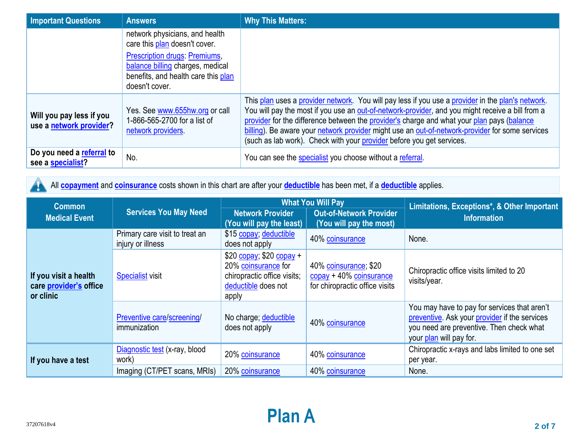| <b>Important Questions</b>                          | <b>Answers</b>                                                                                                             | <b>Why This Matters:</b>                                                                                                                                                                                                                                                                                                                                                                                                                                                        |
|-----------------------------------------------------|----------------------------------------------------------------------------------------------------------------------------|---------------------------------------------------------------------------------------------------------------------------------------------------------------------------------------------------------------------------------------------------------------------------------------------------------------------------------------------------------------------------------------------------------------------------------------------------------------------------------|
|                                                     | network physicians, and health<br>care this plan doesn't cover.                                                            |                                                                                                                                                                                                                                                                                                                                                                                                                                                                                 |
|                                                     | Prescription drugs: Premiums,<br>balance billing charges, medical<br>benefits, and health care this plan<br>doesn't cover. |                                                                                                                                                                                                                                                                                                                                                                                                                                                                                 |
| Will you pay less if you<br>use a network provider? | Yes. See www.655hw.org or call<br>1-866-565-2700 for a list of<br>network providers                                        | This plan uses a provider network. You will pay less if you use a provider in the plan's network.<br>You will pay the most if you use an out-of-network-provider, and you might receive a bill from a<br>provider for the difference between the provider's charge and what your plan pays (balance<br>billing). Be aware your network provider might use an out-of-network-provider for some services<br>(such as lab work). Check with your provider before you get services. |
| Do you need a referral to<br>see a specialist?      | No.                                                                                                                        | You can see the specialist you choose without a referral.                                                                                                                                                                                                                                                                                                                                                                                                                       |

All **[copayment](https://www.healthcare.gov/sbc-glossary/#copayment)** and **[coinsurance](https://www.healthcare.gov/sbc-glossary/#coinsurance)** costs shown in this chart are after your **[deductible](https://www.healthcare.gov/sbc-glossary/#deductible)** has been met, if a **[deductible](https://www.healthcare.gov/sbc-glossary/#deductible)** applies. A

| <b>Common</b>                                                | <b>Services You May Need</b>                        | <b>What You Will Pay</b>                                                                                        |                                                                                                                | Limitations, Exceptions*, & Other Important                                                                                                                          |  |
|--------------------------------------------------------------|-----------------------------------------------------|-----------------------------------------------------------------------------------------------------------------|----------------------------------------------------------------------------------------------------------------|----------------------------------------------------------------------------------------------------------------------------------------------------------------------|--|
| <b>Medical Event</b>                                         |                                                     | <b>Network Provider</b><br>(You will pay the least)                                                             | <b>Out-of-Network Provider</b><br>(You will pay the most)                                                      | <b>Information</b>                                                                                                                                                   |  |
|                                                              | Primary care visit to treat an<br>injury or illness | \$15 copay; deductible<br>does not apply                                                                        | 40% coinsurance                                                                                                | None.                                                                                                                                                                |  |
| If you visit a health<br>care provider's office<br>or clinic | <b>Specialist visit</b>                             | $$20$ copay; \$20 copay +<br>20% coinsurance for<br>chiropractic office visits;<br>deductible does not<br>apply | 40% coinsurance; \$20<br>$\frac{\text{copy}}{\text{2004}}$ + 40% coinsurance<br>for chiropractic office visits | Chiropractic office visits limited to 20<br>visits/year.                                                                                                             |  |
|                                                              | Preventive care/screening/<br>immunization          | No charge; deductible<br>does not apply                                                                         | 40% coinsurance                                                                                                | You may have to pay for services that aren't<br>preventive. Ask your provider if the services<br>you need are preventive. Then check what<br>your plan will pay for. |  |
| If you have a test                                           | Diagnostic test (x-ray, blood<br>work)              | 20% coinsurance                                                                                                 | 40% coinsurance                                                                                                | Chiropractic x-rays and labs limited to one set<br>per year.                                                                                                         |  |
|                                                              | Imaging (CT/PET scans, MRIs)                        | 20% coinsurance                                                                                                 | 40% coinsurance                                                                                                | None.                                                                                                                                                                |  |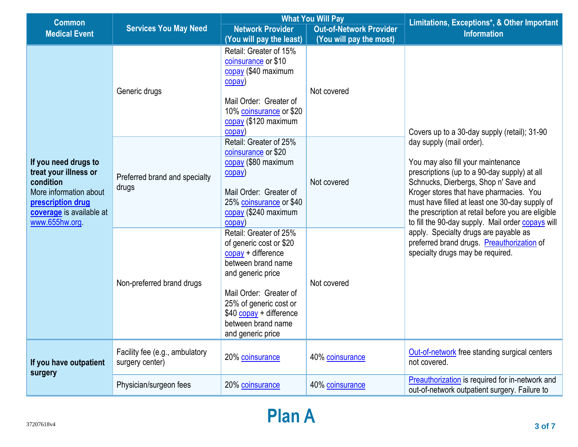| <b>Common</b>                                                                                                                                                                    |                                                   | <b>What You Will Pay</b>                                                                                                                                                                                                                       |                                | Limitations, Exceptions*, & Other Important                                                                                                                                                                                                                                                                                                                                                                                                                                                                                                |  |
|----------------------------------------------------------------------------------------------------------------------------------------------------------------------------------|---------------------------------------------------|------------------------------------------------------------------------------------------------------------------------------------------------------------------------------------------------------------------------------------------------|--------------------------------|--------------------------------------------------------------------------------------------------------------------------------------------------------------------------------------------------------------------------------------------------------------------------------------------------------------------------------------------------------------------------------------------------------------------------------------------------------------------------------------------------------------------------------------------|--|
| <b>Medical Event</b>                                                                                                                                                             | <b>Services You May Need</b>                      | <b>Network Provider</b>                                                                                                                                                                                                                        | <b>Out-of-Network Provider</b> | <b>Information</b>                                                                                                                                                                                                                                                                                                                                                                                                                                                                                                                         |  |
|                                                                                                                                                                                  |                                                   | (You will pay the least)                                                                                                                                                                                                                       | (You will pay the most)        |                                                                                                                                                                                                                                                                                                                                                                                                                                                                                                                                            |  |
| If you need drugs to<br>treat your illness or<br>condition<br>More information about<br>prescription drug<br>coverage is available at<br>www.655hw.org<br>If you have outpatient | Generic drugs                                     | Retail: Greater of 15%<br>coinsurance or \$10<br>copay (\$40 maximum<br>copay)<br>Mail Order: Greater of<br>10% coinsurance or \$20<br>copay (\$120 maximum<br>copay)                                                                          | Not covered                    | Covers up to a 30-day supply (retail); 31-90<br>day supply (mail order).<br>You may also fill your maintenance<br>prescriptions (up to a 90-day supply) at all<br>Schnucks, Dierbergs, Shop n' Save and<br>Kroger stores that have pharmacies. You<br>must have filled at least one 30-day supply of<br>the prescription at retail before you are eligible<br>to fill the 90-day supply. Mail order copays will<br>apply. Specialty drugs are payable as<br>preferred brand drugs. Preauthorization of<br>specialty drugs may be required. |  |
|                                                                                                                                                                                  | Preferred brand and specialty<br>drugs            | Retail: Greater of 25%<br>coinsurance or \$20<br>copay (\$80 maximum<br>$\overline{\text{copy}}$<br>Mail Order: Greater of<br>25% coinsurance or \$40<br>copay (\$240 maximum<br>copay)                                                        | Not covered                    |                                                                                                                                                                                                                                                                                                                                                                                                                                                                                                                                            |  |
|                                                                                                                                                                                  | Non-preferred brand drugs                         | Retail: Greater of 25%<br>of generic cost or \$20<br>$copy + difference$<br>between brand name<br>and generic price<br>Mail Order: Greater of<br>25% of generic cost or<br>$$40$ copay + difference<br>between brand name<br>and generic price | Not covered                    |                                                                                                                                                                                                                                                                                                                                                                                                                                                                                                                                            |  |
|                                                                                                                                                                                  | Facility fee (e.g., ambulatory<br>surgery center) | 20% coinsurance                                                                                                                                                                                                                                | 40% coinsurance                | Out-of-network free standing surgical centers<br>not covered.                                                                                                                                                                                                                                                                                                                                                                                                                                                                              |  |
| surgery                                                                                                                                                                          | Physician/surgeon fees                            | 20% coinsurance                                                                                                                                                                                                                                | 40% coinsurance                | Preauthorization is required for in-network and<br>out-of-network outpatient surgery. Failure to                                                                                                                                                                                                                                                                                                                                                                                                                                           |  |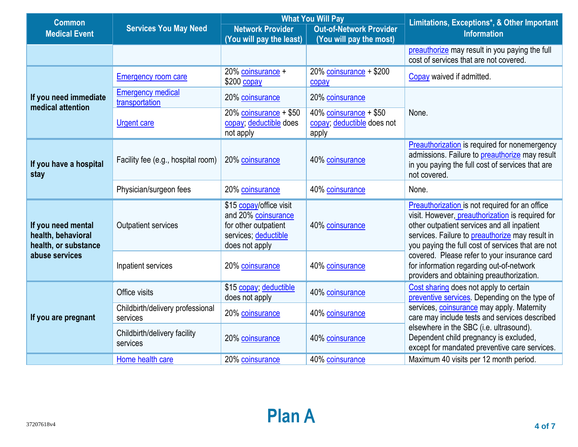| <b>Common</b>                                                    |                                              | <b>What You Will Pay</b>                                                                                         |                                                                  | Limitations, Exceptions*, & Other Important                                                                                                                                                                                                                      |  |
|------------------------------------------------------------------|----------------------------------------------|------------------------------------------------------------------------------------------------------------------|------------------------------------------------------------------|------------------------------------------------------------------------------------------------------------------------------------------------------------------------------------------------------------------------------------------------------------------|--|
| <b>Medical Event</b>                                             | <b>Services You May Need</b>                 | <b>Network Provider</b>                                                                                          | <b>Out-of-Network Provider</b>                                   | <b>Information</b>                                                                                                                                                                                                                                               |  |
|                                                                  |                                              | (You will pay the least)                                                                                         | (You will pay the most)                                          |                                                                                                                                                                                                                                                                  |  |
|                                                                  |                                              |                                                                                                                  |                                                                  | preauthorize may result in you paying the full<br>cost of services that are not covered.                                                                                                                                                                         |  |
|                                                                  | <b>Emergency room care</b>                   | 20% coinsurance +<br>$$200$ copay                                                                                | 20% coinsurance $+$ \$200<br>copay                               | Copay waived if admitted.                                                                                                                                                                                                                                        |  |
| If you need immediate<br>medical attention                       | <b>Emergency medical</b><br>transportation   | 20% coinsurance                                                                                                  | 20% coinsurance                                                  |                                                                                                                                                                                                                                                                  |  |
|                                                                  | <b>Urgent care</b>                           | $20\%$ coinsurance + \$50<br>copay; deductible does<br>not apply                                                 | $40\%$ coinsurance + \$50<br>copay; deductible does not<br>apply | None.                                                                                                                                                                                                                                                            |  |
| If you have a hospital<br>stay                                   | Facility fee (e.g., hospital room)           | 20% coinsurance                                                                                                  | 40% coinsurance                                                  | <b>Preauthorization</b> is required for nonemergency<br>admissions. Failure to preauthorize may result<br>in you paying the full cost of services that are<br>not covered.                                                                                       |  |
|                                                                  | Physician/surgeon fees                       | 20% coinsurance                                                                                                  | 40% coinsurance                                                  | None.                                                                                                                                                                                                                                                            |  |
| If you need mental<br>health, behavioral<br>health, or substance | <b>Outpatient services</b>                   | \$15 copay/office visit<br>and 20% coinsurance<br>for other outpatient<br>services; deductible<br>does not apply | 40% coinsurance                                                  | Preauthorization is not required for an office<br>visit. However, preauthorization is required for<br>other outpatient services and all inpatient<br>services. Failure to <i>preauthorize</i> may result in<br>you paying the full cost of services that are not |  |
| abuse services                                                   | Inpatient services                           | 20% coinsurance                                                                                                  | 40% coinsurance                                                  | covered. Please refer to your insurance card<br>for information regarding out-of-network<br>providers and obtaining preauthorization.                                                                                                                            |  |
|                                                                  | Office visits<br>does not apply              | \$15 copay; deductible                                                                                           | 40% coinsurance                                                  | Cost sharing does not apply to certain<br>preventive services. Depending on the type of                                                                                                                                                                          |  |
| If you are pregnant                                              | Childbirth/delivery professional<br>services | 20% coinsurance                                                                                                  | 40% coinsurance                                                  | services, coinsurance may apply. Maternity<br>care may include tests and services described                                                                                                                                                                      |  |
|                                                                  | Childbirth/delivery facility<br>services     | 20% coinsurance                                                                                                  | 40% coinsurance                                                  | elsewhere in the SBC (i.e. ultrasound).<br>Dependent child pregnancy is excluded,<br>except for mandated preventive care services.                                                                                                                               |  |
|                                                                  | Home health care                             | 20% coinsurance                                                                                                  | 40% coinsurance                                                  | Maximum 40 visits per 12 month period.                                                                                                                                                                                                                           |  |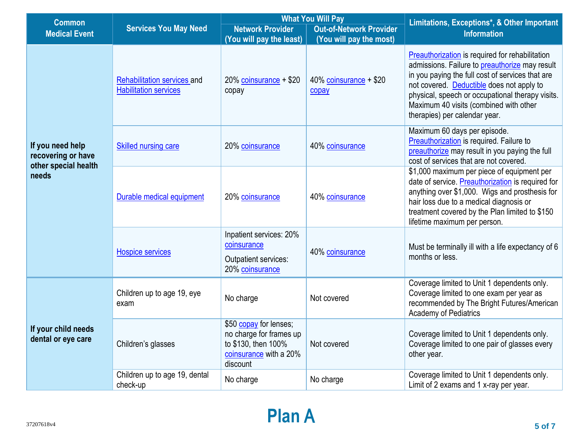| <b>Common</b>                             |                                                             | <b>What You Will Pay</b>                                                                                       |                                 | Limitations, Exceptions*, & Other Important                                                                                                                                                                                                                                                                                       |  |
|-------------------------------------------|-------------------------------------------------------------|----------------------------------------------------------------------------------------------------------------|---------------------------------|-----------------------------------------------------------------------------------------------------------------------------------------------------------------------------------------------------------------------------------------------------------------------------------------------------------------------------------|--|
| <b>Medical Event</b>                      | <b>Services You May Need</b>                                | <b>Network Provider</b>                                                                                        | <b>Out-of-Network Provider</b>  | <b>Information</b>                                                                                                                                                                                                                                                                                                                |  |
|                                           |                                                             | (You will pay the least)                                                                                       | (You will pay the most)         |                                                                                                                                                                                                                                                                                                                                   |  |
|                                           | Rehabilitation services and<br><b>Habilitation services</b> | $20\%$ coinsurance + \$20<br>copay                                                                             | 40% coinsurance + \$20<br>copay | Preauthorization is required for rehabilitation<br>admissions. Failure to preauthorize may result<br>in you paying the full cost of services that are<br>not covered. Deductible does not apply to<br>physical, speech or occupational therapy visits.<br>Maximum 40 visits (combined with other<br>therapies) per calendar year. |  |
| If you need help<br>recovering or have    | <b>Skilled nursing care</b>                                 | 20% coinsurance                                                                                                | 40% coinsurance                 | Maximum 60 days per episode.<br>Preauthorization is required. Failure to<br>preauthorize may result in you paying the full<br>cost of services that are not covered.                                                                                                                                                              |  |
| other special health<br>needs             | Durable medical equipment                                   | 20% coinsurance                                                                                                | 40% coinsurance                 | \$1,000 maximum per piece of equipment per<br>date of service. Preauthorization is required for<br>anything over \$1,000. Wigs and prosthesis for<br>hair loss due to a medical diagnosis or<br>treatment covered by the Plan limited to \$150<br>lifetime maximum per person.                                                    |  |
|                                           | <b>Hospice services</b>                                     | Inpatient services: 20%<br>coinsurance<br>Outpatient services:<br>20% coinsurance                              | 40% coinsurance                 | Must be terminally ill with a life expectancy of 6<br>months or less.                                                                                                                                                                                                                                                             |  |
|                                           | Children up to age 19, eye<br>exam                          | No charge                                                                                                      | Not covered                     | Coverage limited to Unit 1 dependents only.<br>Coverage limited to one exam per year as<br>recommended by The Bright Futures/American<br><b>Academy of Pediatrics</b>                                                                                                                                                             |  |
| If your child needs<br>dental or eye care | Children's glasses                                          | \$50 copay for lenses;<br>no charge for frames up<br>to \$130, then 100%<br>coinsurance with a 20%<br>discount | Not covered                     | Coverage limited to Unit 1 dependents only.<br>Coverage limited to one pair of glasses every<br>other year.                                                                                                                                                                                                                       |  |
|                                           | Children up to age 19, dental<br>check-up                   | No charge                                                                                                      | No charge                       | Coverage limited to Unit 1 dependents only.<br>Limit of 2 exams and 1 x-ray per year.                                                                                                                                                                                                                                             |  |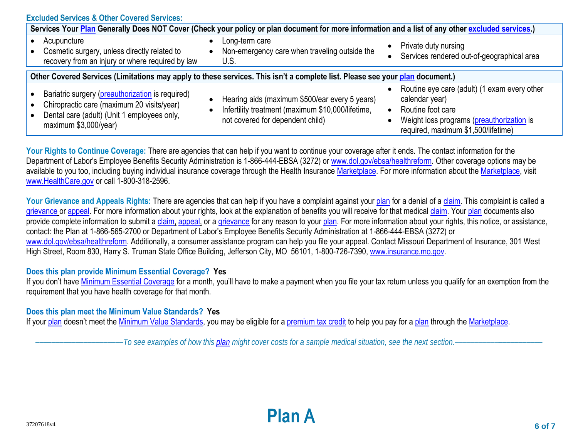| <b>Excluded Services &amp; Other Covered Services:</b>                                                                                                                 |                                                                                                                                                                   |                                                                                                                                                                         |  |  |  |
|------------------------------------------------------------------------------------------------------------------------------------------------------------------------|-------------------------------------------------------------------------------------------------------------------------------------------------------------------|-------------------------------------------------------------------------------------------------------------------------------------------------------------------------|--|--|--|
| Services Your Plan Generally Does NOT Cover (Check your policy or plan document for more information and a list of any other excluded services.)                       |                                                                                                                                                                   |                                                                                                                                                                         |  |  |  |
| Acupuncture<br>Cosmetic surgery, unless directly related to<br>recovery from an injury or where required by law                                                        | Long-term care<br>$\bullet$<br>Non-emergency care when traveling outside the<br>$\bullet$<br>U.S.                                                                 | Private duty nursing<br>Services rendered out-of-geographical area                                                                                                      |  |  |  |
| Other Covered Services (Limitations may apply to these services. This isn't a complete list. Please see your plan document.)                                           |                                                                                                                                                                   |                                                                                                                                                                         |  |  |  |
| Bariatric surgery (preauthorization is required)<br>Chiropractic care (maximum 20 visits/year)<br>Dental care (adult) (Unit 1 employees only,<br>maximum \$3,000/year) | Hearing aids (maximum \$500/ear every 5 years)<br>$\bullet$<br>Infertility treatment (maximum \$10,000/lifetime,<br>$\bullet$<br>not covered for dependent child) | Routine eye care (adult) (1 exam every other<br>calendar year)<br>Routine foot care<br>Weight loss programs (preauthorization is<br>required, maximum \$1,500/lifetime) |  |  |  |

Your Rights to Continue Coverage: There are agencies that can help if you want to continue your coverage after it ends. The contact information for the Department of Labor's Employee Benefits Security Administration is 1-866-444-EBSA (3272) o[r www.dol.gov/ebsa/healthreform.](http://www.dol.gov/ebsa/healthreform) Other coverage options may be available to you too, including buying individual insurance coverage through the Health Insurance [Marketplace.](https://www.healthcare.gov/sbc-glossary/#marketplace) For more information about the [Marketplace,](https://www.healthcare.gov/sbc-glossary/#marketplace) visit [www.HealthCare.gov](http://www.healthcare.gov/) or call 1-800-318-2596.

Your Grievance and Appeals Rights: There are agencies that can help if you have a complaint against you[r plan](https://www.healthcare.gov/sbc-glossary/#plan) for a denial of a [claim.](https://www.healthcare.gov/sbc-glossary/#claim) This complaint is called a [grievance](https://www.healthcare.gov/sbc-glossary/#grievance) or [appeal.](https://www.healthcare.gov/sbc-glossary/#appeal) For more information about your rights, look at the explanation of benefits you will receive for that medica[l claim.](https://www.healthcare.gov/sbc-glossary/#claim) Your [plan](https://www.healthcare.gov/sbc-glossary/#plan) documents also provide complete information to submit a [claim,](https://www.healthcare.gov/sbc-glossary/#claim) [appeal,](https://www.healthcare.gov/sbc-glossary/#appeal) or a [grievance](https://www.healthcare.gov/sbc-glossary/#grievance) for any reason to your [plan.](https://www.healthcare.gov/sbc-glossary/#plan) For more information about your rights, this notice, or assistance, contact: the Plan at 1-866-565-2700 or Department of Labor's Employee Benefits Security Administration at 1-866-444-EBSA (3272) or [www.dol.gov/ebsa/healthreform.](http://www.dol.gov/ebsa/healthreform) Additionally, a consumer assistance program can help you file your appeal. Contact Missouri Department of Insurance, 301 West High Street, Room 830, Harry S. Truman State Office Building, Jefferson City, MO 56101, 1-800-726-7390, [www.insurance.mo.gov.](http://www.insurance.mo.gov/)

## **Does this plan provide Minimum Essential Coverage? Yes**

If you don't have [Minimum Essential Coverage](https://www.healthcare.gov/sbc-glossary/#minimum-essential-coverage) for a month, you'll have to make a payment when you file your tax return unless you qualify for an exemption from the requirement that you have health coverage for that month.

## **Does this plan meet the Minimum Value Standards? Yes**

If your [plan](https://www.healthcare.gov/sbc-glossary/#plan) doesn't meet the [Minimum Value Standards,](https://www.healthcare.gov/sbc-glossary/#minimum-value-standard) you may be eligible for a [premium tax credit](https://www.healthcare.gov/sbc-glossary/#premium-tax-credits) to help you pay for a plan through the Marketplace.

––––––––––––––––––––––*To see examples of how this [plan](https://www.healthcare.gov/sbc-glossary/#plan) might cover costs for a sample medical situation, see the next section.–––––––––––*–––––––––––